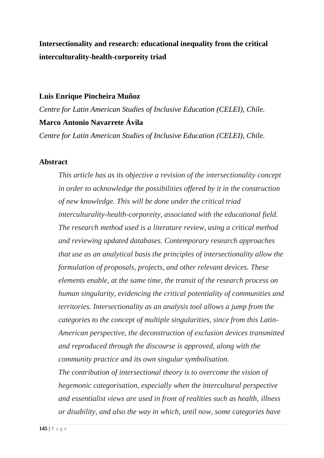# **Intersectionality and research: educational inequality from the critical interculturality-health-corporeity triad**

### **Luis Enrique Pincheira Muñoz**

*Centre for Latin American Studies of Inclusive Education (CELEI), Chile.* **Marco Antonio Navarrete Ávila**

*Centre for Latin American Studies of Inclusive Education (CELEI), Chile.*

### **Abstract**

*This article has as its objective a revision of the intersectionality concept in order to acknowledge the possibilities offered by it in the construction of new knowledge. This will be done under the critical triad interculturality-health-corporeity, associated with the educational field. The research method used is a literature review, using a critical method and reviewing updated databases. Contemporary research approaches that use as an analytical basis the principles of intersectionality allow the formulation of proposals, projects, and other relevant devices. These elements enable, at the same time, the transit of the research process on human singularity, evidencing the critical potentiality of communities and territories. Intersectionality as an analysis tool allows a jump from the categories to the concept of multiple singularities, since from this Latin-American perspective, the deconstruction of exclusion devices transmitted and reproduced through the discourse is approved, along with the community practice and its own singular symbolisation. The contribution of intersectional theory is to overcome the vision of hegemonic categorisation, especially when the intercultural perspective* 

*and essentialist views are used in front of realities such as health, illness or disability, and also the way in which, until now, some categories have*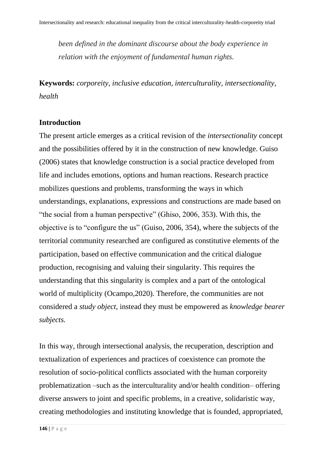*been defined in the dominant discourse about the body experience in relation with the enjoyment of fundamental human rights.* 

**Keywords:** *corporeity, inclusive education, interculturality, intersectionality, health*

### **Introduction**

The present article emerges as a critical revision of the *intersectionality* concept and the possibilities offered by it in the construction of new knowledge. Guiso (2006) states that knowledge construction is a social practice developed from life and includes emotions, options and human reactions. Research practice mobilizes questions and problems, transforming the ways in which understandings, explanations, expressions and constructions are made based on "the social from a human perspective" (Ghiso, 2006, 353). With this, the objective is to "configure the us" (Guiso, 2006, 354), where the subjects of the territorial community researched are configured as constitutive elements of the participation, based on effective communication and the critical dialogue production, recognising and valuing their singularity. This requires the understanding that this singularity is complex and a part of the ontological world of multiplicity (Ocampo,2020). Therefore, the communities are not considered a *study object,* instead they must be empowered as *knowledge bearer subjects.* 

In this way, through intersectional analysis, the recuperation, description and textualization of experiences and practices of coexistence can promote the resolution of socio-political conflicts associated with the human corporeity problematization –such as the interculturality and/or health condition– offering diverse answers to joint and specific problems, in a creative, solidaristic way, creating methodologies and instituting knowledge that is founded, appropriated,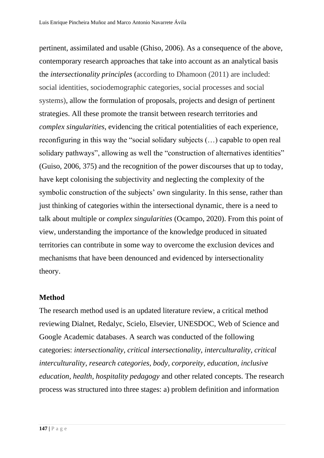pertinent, assimilated and usable (Ghiso, 2006). As a consequence of the above, contemporary research approaches that take into account as an analytical basis the *intersectionality principles* (according to Dhamoon (2011) are included: social identities, sociodemographic categories, social processes and social systems), allow the formulation of proposals, projects and design of pertinent strategies. All these promote the transit between research territories and *complex singularities*, evidencing the critical potentialities of each experience, reconfiguring in this way the "social solidary subjects (…) capable to open real solidary pathways", allowing as well the "construction of alternatives identities" (Guiso, 2006, 375) and the recognition of the power discourses that up to today, have kept colonising the subjectivity and neglecting the complexity of the symbolic construction of the subjects' own singularity. In this sense, rather than just thinking of categories within the intersectional dynamic, there is a need to talk about multiple or *complex singularities* (Ocampo, 2020). From this point of view, understanding the importance of the knowledge produced in situated territories can contribute in some way to overcome the exclusion devices and mechanisms that have been denounced and evidenced by intersectionality theory.

### **Method**

The research method used is an updated literature review, a critical method reviewing Dialnet, Redalyc, Scielo, Elsevier, UNESDOC, Web of Science and Google Academic databases. A search was conducted of the following categories: *intersectionality, critical intersectionality, interculturality, critical interculturality, research categories, body, corporeity, education, inclusive education, health, hospitality pedagogy* and other related concepts. The research process was structured into three stages: a) problem definition and information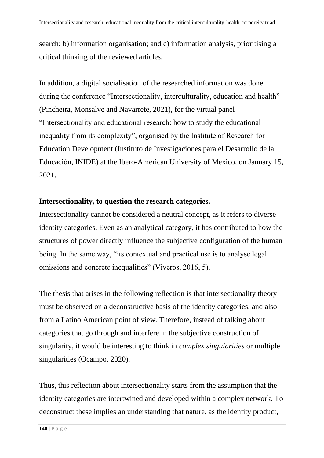search; b) information organisation; and c) information analysis, prioritising a critical thinking of the reviewed articles.

In addition, a digital socialisation of the researched information was done during the conference "Intersectionality, interculturality, education and health" (Pincheira, Monsalve and Navarrete, 2021), for the virtual panel "Intersectionality and educational research: how to study the educational inequality from its complexity", organised by the Institute of Research for Education Development (Instituto de Investigaciones para el Desarrollo de la Educación, INIDE) at the Ibero-American University of Mexico, on January 15, 2021.

### **Intersectionality, to question the research categories.**

Intersectionality cannot be considered a neutral concept, as it refers to diverse identity categories. Even as an analytical category, it has contributed to how the structures of power directly influence the subjective configuration of the human being. In the same way, "its contextual and practical use is to analyse legal omissions and concrete inequalities" (Viveros, 2016, 5).

The thesis that arises in the following reflection is that intersectionality theory must be observed on a deconstructive basis of the identity categories, and also from a Latino American point of view. Therefore, instead of talking about categories that go through and interfere in the subjective construction of singularity, it would be interesting to think in *complex singularities* or multiple singularities (Ocampo, 2020).

Thus, this reflection about intersectionality starts from the assumption that the identity categories are intertwined and developed within a complex network. To deconstruct these implies an understanding that nature, as the identity product,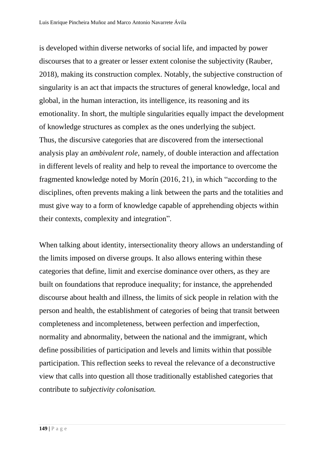is developed within diverse networks of social life, and impacted by power discourses that to a greater or lesser extent colonise the subjectivity (Rauber, 2018), making its construction complex. Notably, the subjective construction of singularity is an act that impacts the structures of general knowledge, local and global, in the human interaction, its intelligence, its reasoning and its emotionality. In short, the multiple singularities equally impact the development of knowledge structures as complex as the ones underlying the subject. Thus, the discursive categories that are discovered from the intersectional analysis play an *ambivalent role*, namely, of double interaction and affectation in different levels of reality and help to reveal the importance to overcome the fragmented knowledge noted by Morín (2016, 21), in which "according to the disciplines, often prevents making a link between the parts and the totalities and must give way to a form of knowledge capable of apprehending objects within their contexts, complexity and integration".

When talking about identity, intersectionality theory allows an understanding of the limits imposed on diverse groups. It also allows entering within these categories that define, limit and exercise dominance over others, as they are built on foundations that reproduce inequality; for instance, the apprehended discourse about health and illness, the limits of sick people in relation with the person and health, the establishment of categories of being that transit between completeness and incompleteness, between perfection and imperfection, normality and abnormality, between the national and the immigrant, which define possibilities of participation and levels and limits within that possible participation. This reflection seeks to reveal the relevance of a deconstructive view that calls into question all those traditionally established categories that contribute to *subjectivity colonisation.*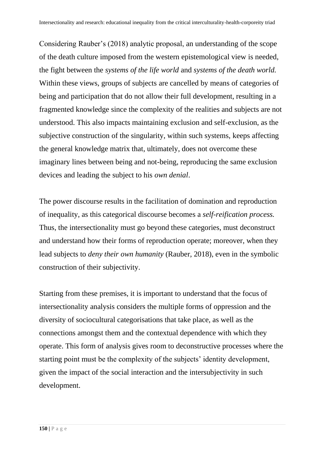Considering Rauber's (2018) analytic proposal, an understanding of the scope of the death culture imposed from the western epistemological view is needed, the fight between the *systems of the life world* and *systems of the death world.*  Within these views, groups of subjects are cancelled by means of categories of being and participation that do not allow their full development, resulting in a fragmented knowledge since the complexity of the realities and subjects are not understood. This also impacts maintaining exclusion and self-exclusion, as the subjective construction of the singularity, within such systems, keeps affecting the general knowledge matrix that, ultimately, does not overcome these imaginary lines between being and not-being, reproducing the same exclusion devices and leading the subject to his *own denial*.

The power discourse results in the facilitation of domination and reproduction of inequality, as this categorical discourse becomes a *self-reification process.*  Thus, the intersectionality must go beyond these categories, must deconstruct and understand how their forms of reproduction operate; moreover, when they lead subjects to *deny their own humanity* (Rauber, 2018), even in the symbolic construction of their subjectivity.

Starting from these premises, it is important to understand that the focus of intersectionality analysis considers the multiple forms of oppression and the diversity of sociocultural categorisations that take place, as well as the connections amongst them and the contextual dependence with which they operate. This form of analysis gives room to deconstructive processes where the starting point must be the complexity of the subjects' identity development, given the impact of the social interaction and the intersubjectivity in such development.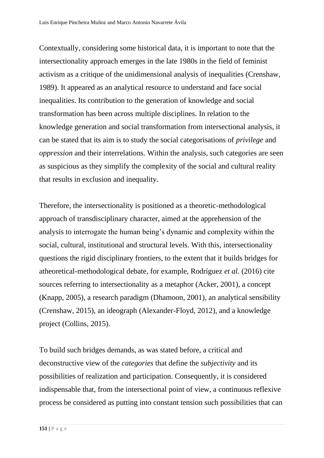Contextually, considering some historical data, it is important to note that the intersectionality approach emerges in the late 1980s in the field of feminist activism as a critique of the unidimensional analysis of inequalities (Crenshaw, 1989). It appeared as an analytical resource to understand and face social inequalities. Its contribution to the generation of knowledge and social transformation has been across multiple disciplines. In relation to the knowledge generation and social transformation from intersectional analysis, it can be stated that its aim is to study the social categorisations of *privilege* and *oppression* and their interrelations. Within the analysis, such categories are seen as suspicious as they simplify the complexity of the social and cultural reality that results in exclusion and inequality.

Therefore, the intersectionality is positioned as a theoretic-methodological approach of transdisciplinary character, aimed at the apprehension of the analysis to interrogate the human being's dynamic and complexity within the social, cultural, institutional and structural levels. With this, intersectionality questions the rigid disciplinary frontiers, to the extent that it builds bridges for atheoretical-methodological debate, for example, Rodríguez *et al.* (2016) cite sources referring to intersectionality as a metaphor (Acker, 2001), a concept (Knapp, 2005), a research paradigm (Dhamoon, 2001), an analytical sensibility (Crenshaw, 2015), an ideograph (Alexander-Floyd, 2012), and a knowledge project (Collins, 2015).

To build such bridges demands, as was stated before, a critical and deconstructive view of the *categories* that define the *subjectivity* and its possibilities of realization and participation. Consequently, it is considered indispensable that, from the intersectional point of view, a continuous reflexive process be considered as putting into constant tension such possibilities that can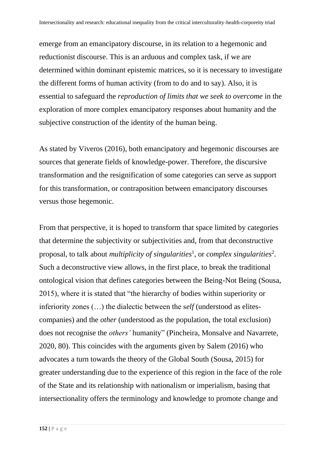emerge from an emancipatory discourse, in its relation to a hegemonic and reductionist discourse. This is an arduous and complex task, if we are determined within dominant epistemic matrices, so it is necessary to investigate the different forms of human activity (from to do and to say). Also, it is essential to safeguard the *reproduction of limits that we seek to overcome* in the exploration of more complex emancipatory responses about humanity and the subjective construction of the identity of the human being.

As stated by Viveros (2016), both emancipatory and hegemonic discourses are sources that generate fields of knowledge-power. Therefore, the discursive transformation and the resignification of some categories can serve as support for this transformation, or contraposition between emancipatory discourses versus those hegemonic.

From that perspective, it is hoped to transform that space limited by categories that determine the subjectivity or subjectivities and, from that deconstructive proposal, to talk about *multiplicity of singularities*<sup>1</sup>, or *complex singularities*<sup>2</sup>. Such a deconstructive view allows, in the first place, to break the traditional ontological vision that defines categories between the Being-Not Being (Sousa, 2015), where it is stated that "the hierarchy of bodies within superiority or inferiority zones (…) the dialectic between the s*elf* (understood as elitescompanies) and the *other* (understood as the population, the total exclusion) does not recognise the *others'* humanity" (Pincheira, Monsalve and Navarrete, 2020, 80). This coincides with the arguments given by Salem (2016) who advocates a turn towards the theory of the Global South (Sousa, 2015) for greater understanding due to the experience of this region in the face of the role of the State and its relationship with nationalism or imperialism, basing that intersectionality offers the terminology and knowledge to promote change and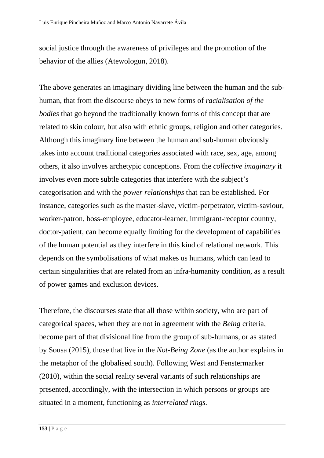social justice through the awareness of privileges and the promotion of the behavior of the allies (Atewologun, 2018).

The above generates an imaginary dividing line between the human and the subhuman, that from the discourse obeys to new forms of *racialisation of the bodies* that go beyond the traditionally known forms of this concept that are related to skin colour, but also with ethnic groups, religion and other categories. Although this imaginary line between the human and sub-human obviously takes into account traditional categories associated with race, sex, age, among others, it also involves archetypic conceptions. From the *collective imaginary* it involves even more subtle categories that interfere with the subject's categorisation and with the *power relationships* that can be established. For instance, categories such as the master-slave, victim-perpetrator, victim-saviour, worker-patron, boss-employee, educator-learner, immigrant-receptor country, doctor-patient, can become equally limiting for the development of capabilities of the human potential as they interfere in this kind of relational network. This depends on the symbolisations of what makes us humans, which can lead to certain singularities that are related from an infra-humanity condition, as a result of power games and exclusion devices.

Therefore, the discourses state that all those within society, who are part of categorical spaces, when they are not in agreement with the *Being* criteria, become part of that divisional line from the group of sub-humans, or as stated by Sousa (2015), those that live in the *Not-Being Zone* (as the author explains in the metaphor of the globalised south). Following West and Fenstermarker (2010), within the social reality several variants of such relationships are presented, accordingly, with the intersection in which persons or groups are situated in a moment, functioning as *interrelated rings.*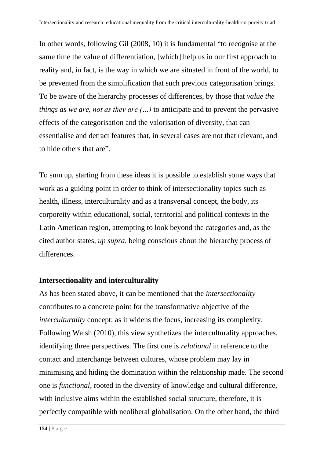In other words, following Gil (2008, 10) it is fundamental "to recognise at the same time the value of differentiation, [which] help us in our first approach to reality and, in fact, is the way in which we are situated in front of the world, to be prevented from the simplification that such previous categorisation brings. To be aware of the hierarchy processes of differences, by those that *value the things as we are, not as they are (…)* to anticipate and to prevent the pervasive effects of the categorisation and the valorisation of diversity, that can essentialise and detract features that, in several cases are not that relevant, and to hide others that are".

To sum up, starting from these ideas it is possible to establish some ways that work as a guiding point in order to think of intersectionality topics such as health, illness, interculturality and as a transversal concept, the body, its corporeity within educational, social, territorial and political contexts in the Latin American region, attempting to look beyond the categories and, as the cited author states, *up supra,* being conscious about the hierarchy process of differences.

### **Intersectionality and interculturality**

As has been stated above, it can be mentioned that the *intersectionality*  contributes to a concrete point for the transformative objective of the *interculturality* concept; as it widens the focus, increasing its complexity. Following Walsh (2010), this view synthetizes the interculturality approaches, identifying three perspectives. The first one is *relational* in reference to the contact and interchange between cultures, whose problem may lay in minimising and hiding the domination within the relationship made. The second one is *functional,* rooted in the diversity of knowledge and cultural difference, with inclusive aims within the established social structure, therefore, it is perfectly compatible with neoliberal globalisation. On the other hand, the third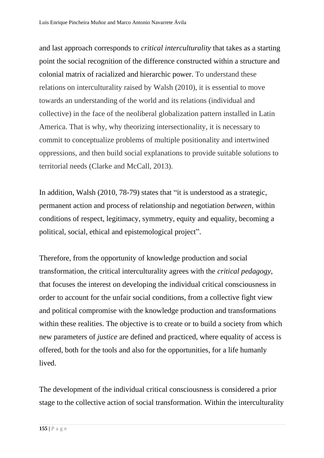and last approach corresponds to *critical interculturality* that takes as a starting point the social recognition of the difference constructed within a structure and colonial matrix of racialized and hierarchic power. To understand these relations on interculturality raised by Walsh (2010), it is essential to move towards an understanding of the world and its relations (individual and collective) in the face of the neoliberal globalization pattern installed in Latin America. That is why, why theorizing intersectionality, it is necessary to commit to conceptualize problems of multiple positionality and intertwined oppressions, and then build social explanations to provide suitable solutions to territorial needs (Clarke and McCall, 2013).

In addition, Walsh (2010, 78-79) states that "it is understood as a strategic, permanent action and process of relationship and negotiation *between,* within conditions of respect, legitimacy, symmetry, equity and equality, becoming a political, social, ethical and epistemological project".

Therefore, from the opportunity of knowledge production and social transformation, the critical interculturality agrees with the *critical pedagogy,*  that focuses the interest on developing the individual critical consciousness in order to account for the unfair social conditions, from a collective fight view and political compromise with the knowledge production and transformations within these realities. The objective is to create or to build a society from which new parameters of *justice* are defined and practiced, where equality of access is offered, both for the tools and also for the opportunities, for a life humanly lived.

The development of the individual critical consciousness is considered a prior stage to the collective action of social transformation. Within the interculturality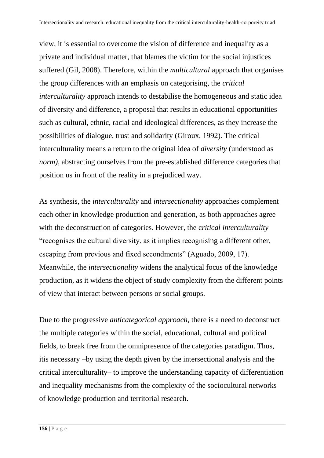view, it is essential to overcome the vision of difference and inequality as a private and individual matter, that blames the victim for the social injustices suffered (Gil, 2008). Therefore, within the *multicultural* approach that organises the group differences with an emphasis on categorising, the *critical interculturality* approach intends to destabilise the homogeneous and static idea of diversity and difference, a proposal that results in educational opportunities such as cultural, ethnic, racial and ideological differences, as they increase the possibilities of dialogue, trust and solidarity (Giroux, 1992). The critical interculturality means a return to the original idea of *diversity* (understood as *norm*), abstracting ourselves from the pre-established difference categories that position us in front of the reality in a prejudiced way.

As synthesis, the *interculturality* and *intersectionality* approaches complement each other in knowledge production and generation, as both approaches agree with the deconstruction of categories. However, the c*ritical interculturality*  "recognises the cultural diversity, as it implies recognising a different other, escaping from previous and fixed secondments" (Aguado, 2009, 17). Meanwhile, the *intersectionality* widens the analytical focus of the knowledge production, as it widens the object of study complexity from the different points of view that interact between persons or social groups.

Due to the progressive *anticategorical approach,* there is a need to deconstruct the multiple categories within the social, educational, cultural and political fields, to break free from the omnipresence of the categories paradigm. Thus, itis necessary –by using the depth given by the intersectional analysis and the critical interculturality– to improve the understanding capacity of differentiation and inequality mechanisms from the complexity of the sociocultural networks of knowledge production and territorial research.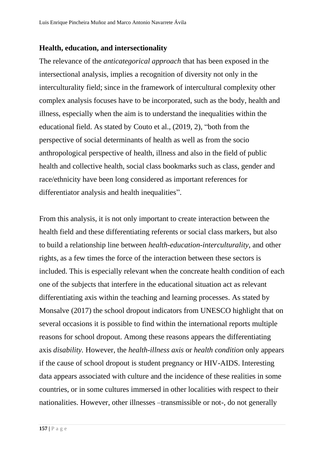### **Health, education, and intersectionality**

The relevance of the *anticategorical approach* that has been exposed in the intersectional analysis, implies a recognition of diversity not only in the interculturality field; since in the framework of intercultural complexity other complex analysis focuses have to be incorporated, such as the body, health and illness, especially when the aim is to understand the inequalities within the educational field. As stated by Couto et al., (2019, 2), "both from the perspective of social determinants of health as well as from the socio anthropological perspective of health, illness and also in the field of public health and collective health, social class bookmarks such as class, gender and race/ethnicity have been long considered as important references for differentiator analysis and health inequalities".

From this analysis, it is not only important to create interaction between the health field and these differentiating referents or social class markers, but also to build a relationship line between *health-education-interculturality,* and other rights, as a few times the force of the interaction between these sectors is included. This is especially relevant when the concreate health condition of each one of the subjects that interfere in the educational situation act as relevant differentiating axis within the teaching and learning processes. As stated by Monsalve (2017) the school dropout indicators from UNESCO highlight that on several occasions it is possible to find within the international reports multiple reasons for school dropout. Among these reasons appears the differentiating axis *disability.* However, the *health-illness axis* or *health condition* only appears if the cause of school dropout is student pregnancy or HIV-AIDS. Interesting data appears associated with culture and the incidence of these realities in some countries, or in some cultures immersed in other localities with respect to their nationalities. However, other illnesses –transmissible or not-, do not generally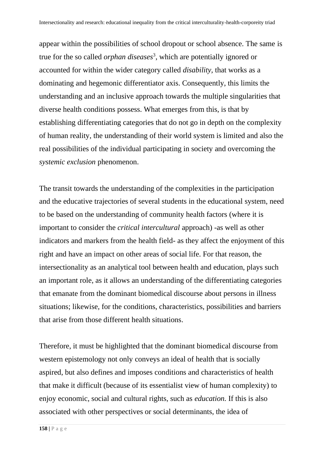appear within the possibilities of school dropout or school absence. The same is true for the so called *orphan diseases* 3 , which are potentially ignored or accounted for within the wider category called *disability,* that works as a dominating and hegemonic differentiator axis. Consequently, this limits the understanding and an inclusive approach towards the multiple singularities that diverse health conditions possess. What emerges from this, is that by establishing differentiating categories that do not go in depth on the complexity of human reality, the understanding of their world system is limited and also the real possibilities of the individual participating in society and overcoming the *systemic exclusion* phenomenon.

The transit towards the understanding of the complexities in the participation and the educative trajectories of several students in the educational system, need to be based on the understanding of community health factors (where it is important to consider the *critical intercultural* approach) -as well as other indicators and markers from the health field- as they affect the enjoyment of this right and have an impact on other areas of social life. For that reason, the intersectionality as an analytical tool between health and education, plays such an important role, as it allows an understanding of the differentiating categories that emanate from the dominant biomedical discourse about persons in illness situations; likewise, for the conditions, characteristics, possibilities and barriers that arise from those different health situations.

Therefore, it must be highlighted that the dominant biomedical discourse from western epistemology not only conveys an ideal of health that is socially aspired, but also defines and imposes conditions and characteristics of health that make it difficult (because of its essentialist view of human complexity) to enjoy economic, social and cultural rights, such as *education.* If this is also associated with other perspectives or social determinants, the idea of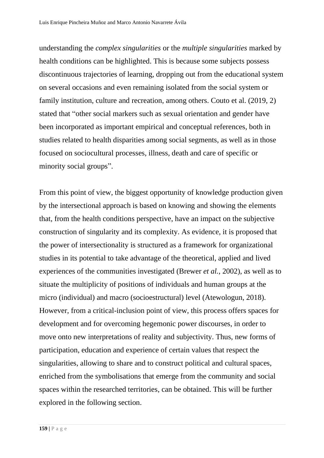understanding the *complex singularities* or the *multiple singularities* marked by health conditions can be highlighted. This is because some subjects possess discontinuous trajectories of learning, dropping out from the educational system on several occasions and even remaining isolated from the social system or family institution, culture and recreation, among others. Couto et al. (2019, 2) stated that "other social markers such as sexual orientation and gender have been incorporated as important empirical and conceptual references, both in studies related to health disparities among social segments, as well as in those focused on sociocultural processes, illness, death and care of specific or minority social groups".

From this point of view, the biggest opportunity of knowledge production given by the intersectional approach is based on knowing and showing the elements that, from the health conditions perspective, have an impact on the subjective construction of singularity and its complexity. As evidence, it is proposed that the power of intersectionality is structured as a framework for organizational studies in its potential to take advantage of the theoretical, applied and lived experiences of the communities investigated (Brewer *et al.*, 2002), as well as to situate the multiplicity of positions of individuals and human groups at the micro (individual) and macro (socioestructural) level (Atewologun, 2018). However, from a critical-inclusion point of view, this process offers spaces for development and for overcoming hegemonic power discourses, in order to move onto new interpretations of reality and subjectivity. Thus, new forms of participation, education and experience of certain values that respect the singularities, allowing to share and to construct political and cultural spaces, enriched from the symbolisations that emerge from the community and social spaces within the researched territories, can be obtained. This will be further explored in the following section.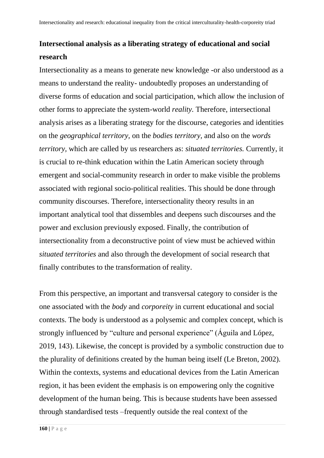## **Intersectional analysis as a liberating strategy of educational and social research**

Intersectionality as a means to generate new knowledge -or also understood as a means to understand the reality- undoubtedly proposes an understanding of diverse forms of education and social participation, which allow the inclusion of other forms to appreciate the system-world *reality.* Therefore, intersectional analysis arises as a liberating strategy for the discourse, categories and identities on the *geographical territory,* on the *bodies territory,* and also on the *words territory,* which are called by us researchers as: *situated territories.* Currently, it is crucial to re-think education within the Latin American society through emergent and social-community research in order to make visible the problems associated with regional socio-political realities. This should be done through community discourses. Therefore, intersectionality theory results in an important analytical tool that dissembles and deepens such discourses and the power and exclusion previously exposed. Finally, the contribution of intersectionality from a deconstructive point of view must be achieved within *situated territories* and also through the development of social research that finally contributes to the transformation of reality.

From this perspective, an important and transversal category to consider is the one associated with the *body* and *corporeity* in current educational and social contexts. The body is understood as a polysemic and complex concept, which is strongly influenced by "culture and personal experience" (Águila and López, 2019, 143). Likewise, the concept is provided by a symbolic construction due to the plurality of definitions created by the human being itself (Le Breton, 2002). Within the contexts, systems and educational devices from the Latin American region, it has been evident the emphasis is on empowering only the cognitive development of the human being. This is because students have been assessed through standardised tests –frequently outside the real context of the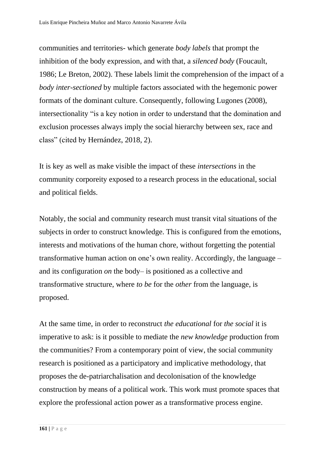communities and territories- which generate *body labels* that prompt the inhibition of the body expression, and with that, a *silenced body* (Foucault, 1986; Le Breton, 2002). These labels limit the comprehension of the impact of a *body inter-sectioned* by multiple factors associated with the hegemonic power formats of the dominant culture. Consequently, following Lugones (2008), intersectionality "is a key notion in order to understand that the domination and exclusion processes always imply the social hierarchy between sex, race and class" (cited by Hernández, 2018, 2).

It is key as well as make visible the impact of these *intersections* in the community corporeity exposed to a research process in the educational, social and political fields.

Notably, the social and community research must transit vital situations of the subjects in order to construct knowledge. This is configured from the emotions, interests and motivations of the human chore, without forgetting the potential transformative human action on one's own reality. Accordingly, the language – and its configuration *on* the body– is positioned as a collective and transformative structure, where *to be* for the *other* from the language, is proposed.

At the same time, in order to reconstruct *the educational* for *the social* it is imperative to ask: is it possible to mediate the *new knowledge* production from the communities? From a contemporary point of view, the social community research is positioned as a participatory and implicative methodology, that proposes the de-patriarchalisation and decolonisation of the knowledge construction by means of a political work. This work must promote spaces that explore the professional action power as a transformative process engine.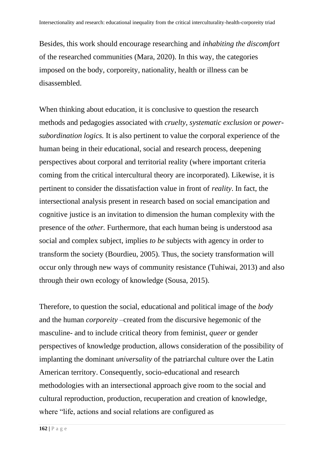Besides, this work should encourage researching and *inhabiting the discomfort*  of the researched communities (Mara, 2020). In this way, the categories imposed on the body, corporeity, nationality, health or illness can be disassembled.

When thinking about education, it is conclusive to question the research methods and pedagogies associated with *cruelty, systematic exclusion* or *powersubordination logics.* It is also pertinent to value the corporal experience of the human being in their educational, social and research process, deepening perspectives about corporal and territorial reality (where important criteria coming from the critical intercultural theory are incorporated). Likewise, it is pertinent to consider the dissatisfaction value in front of *reality*. In fact, the intersectional analysis present in research based on social emancipation and cognitive justice is an invitation to dimension the human complexity with the presence of the *other.* Furthermore, that each human being is understood asa social and complex subject, implies *to be* subjects with agency in order to transform the society (Bourdieu, 2005). Thus, the society transformation will occur only through new ways of community resistance (Tuhiwai, 2013) and also through their own ecology of knowledge (Sousa, 2015).

Therefore, to question the social, educational and political image of the *body*  and the human *corporeity* –created from the discursive hegemonic of the masculine- and to include critical theory from feminist, *queer* or gender perspectives of knowledge production, allows consideration of the possibility of implanting the dominant *universality* of the patriarchal culture over the Latin American territory. Consequently, socio-educational and research methodologies with an intersectional approach give room to the social and cultural reproduction, production, recuperation and creation of knowledge, where "life, actions and social relations are configured as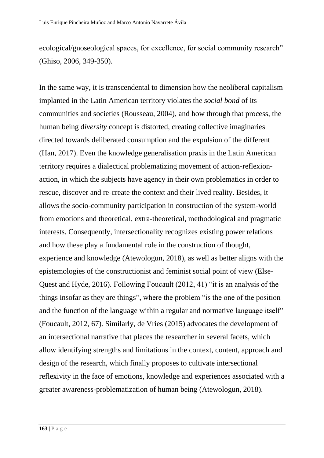ecological/gnoseological spaces, for excellence, for social community research" (Ghiso, 2006, 349-350).

In the same way, it is transcendental to dimension how the neoliberal capitalism implanted in the Latin American territory violates the *social bond* of its communities and societies (Rousseau, 2004), and how through that process, the human being d*iversity* concept is distorted, creating collective imaginaries directed towards deliberated consumption and the expulsion of the different (Han, 2017). Even the knowledge generalisation praxis in the Latin American territory requires a dialectical problematizing movement of action-reflexionaction, in which the subjects have agency in their own problematics in order to rescue, discover and re-create the context and their lived reality. Besides, it allows the socio-community participation in construction of the system-world from emotions and theoretical, extra-theoretical, methodological and pragmatic interests. Consequently, intersectionality recognizes existing power relations and how these play a fundamental role in the construction of thought, experience and knowledge (Atewologun, 2018), as well as better aligns with the epistemologies of the constructionist and feminist social point of view (Else-Quest and Hyde, 2016). Following Foucault (2012, 41) "it is an analysis of the things insofar as they are things", where the problem "is the one of the position and the function of the language within a regular and normative language itself" (Foucault, 2012, 67). Similarly, de Vries (2015) advocates the development of an intersectional narrative that places the researcher in several facets, which allow identifying strengths and limitations in the context, content, approach and design of the research, which finally proposes to cultivate intersectional reflexivity in the face of emotions, knowledge and experiences associated with a greater awareness-problematization of human being (Atewologun, 2018).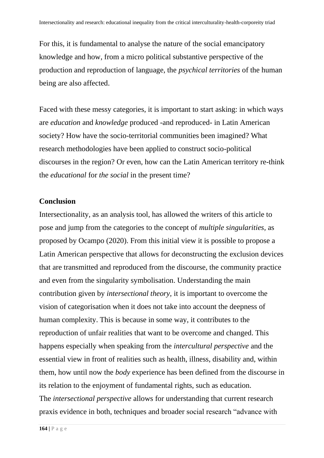For this, it is fundamental to analyse the nature of the social emancipatory knowledge and how, from a micro political substantive perspective of the production and reproduction of language, the *psychical territories* of the human being are also affected.

Faced with these messy categories, it is important to start asking: in which ways are *education* and *knowledge* produced -and reproduced- in Latin American society? How have the socio-territorial communities been imagined? What research methodologies have been applied to construct socio-political discourses in the region? Or even, how can the Latin American territory re-think the *educational* for *the social* in the present time?

### **Conclusion**

Intersectionality, as an analysis tool, has allowed the writers of this article to pose and jump from the categories to the concept of *multiple singularities,* as proposed by Ocampo (2020). From this initial view it is possible to propose a Latin American perspective that allows for deconstructing the exclusion devices that are transmitted and reproduced from the discourse, the community practice and even from the singularity symbolisation. Understanding the main contribution given by *intersectional theory,* it is important to overcome the vision of categorisation when it does not take into account the deepness of human complexity. This is because in some way, it contributes to the reproduction of unfair realities that want to be overcome and changed. This happens especially when speaking from the *intercultural perspective* and the essential view in front of realities such as health, illness, disability and, within them, how until now the *body* experience has been defined from the discourse in its relation to the enjoyment of fundamental rights, such as education. The *intersectional perspective* allows for understanding that current research praxis evidence in both, techniques and broader social research "advance with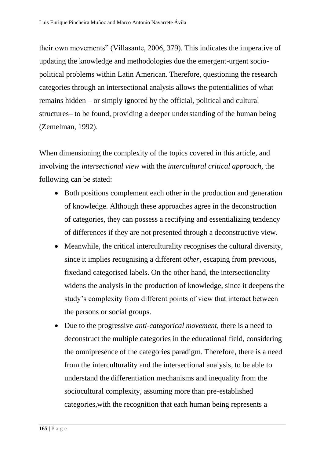their own movements" (Villasante, 2006, 379). This indicates the imperative of updating the knowledge and methodologies due the emergent-urgent sociopolitical problems within Latin American. Therefore, questioning the research categories through an intersectional analysis allows the potentialities of what remains hidden – or simply ignored by the official, political and cultural structures– to be found, providing a deeper understanding of the human being (Zemelman, 1992).

When dimensioning the complexity of the topics covered in this article, and involving the *intersectional view* with the *intercultural critical approach,* the following can be stated:

- Both positions complement each other in the production and generation of knowledge. Although these approaches agree in the deconstruction of categories, they can possess a rectifying and essentializing tendency of differences if they are not presented through a deconstructive view.
- Meanwhile, the critical interculturality recognises the cultural diversity, since it implies recognising a different *other,* escaping from previous, fixedand categorised labels. On the other hand, the intersectionality widens the analysis in the production of knowledge, since it deepens the study's complexity from different points of view that interact between the persons or social groups.
- Due to the progressive *anti-categorical movement,* there is a need to deconstruct the multiple categories in the educational field, considering the omnipresence of the categories paradigm. Therefore, there is a need from the interculturality and the intersectional analysis, to be able to understand the differentiation mechanisms and inequality from the sociocultural complexity, assuming more than pre-established categories,with the recognition that each human being represents a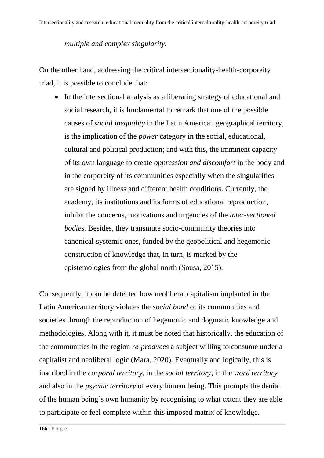### *multiple and complex singularity.*

On the other hand, addressing the critical intersectionality-health-corporeity triad, it is possible to conclude that:

• In the intersectional analysis as a liberating strategy of educational and social research, it is fundamental to remark that one of the possible causes of *social inequality* in the Latin American geographical territory, is the implication of the *power* category in the social, educational, cultural and political production; and with this, the imminent capacity of its own language to create *oppression and discomfort* in the body and in the corporeity of its communities especially when the singularities are signed by illness and different health conditions. Currently, the academy, its institutions and its forms of educational reproduction, inhibit the concerns, motivations and urgencies of the *inter-sectioned bodies.* Besides, they transmute socio-community theories into canonical-systemic ones, funded by the geopolitical and hegemonic construction of knowledge that, in turn, is marked by the epistemologies from the global north (Sousa, 2015).

Consequently, it can be detected how neoliberal capitalism implanted in the Latin American territory violates the *social bond* of its communities and societies through the reproduction of hegemonic and dogmatic knowledge and methodologies. Along with it, it must be noted that historically, the education of the communities in the region *re-produces* a subject willing to consume under a capitalist and neoliberal logic (Mara, 2020). Eventually and logically, this is inscribed in the *corporal territory,* in the *social territory,* in the *word territory*  and also in the *psychic territory* of every human being. This prompts the denial of the human being's own humanity by recognising to what extent they are able to participate or feel complete within this imposed matrix of knowledge.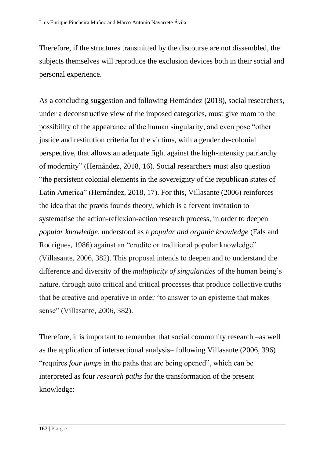Therefore, if the structures transmitted by the discourse are not dissembled, the subjects themselves will reproduce the exclusion devices both in their social and personal experience.

As a concluding suggestion and following Hernández (2018), social researchers, under a deconstructive view of the imposed categories, must give room to the possibility of the appearance of the human singularity, and even pose "other justice and restitution criteria for the victims, with a gender de-colonial perspective, that allows an adequate fight against the high-intensity patriarchy of modernity" (Hernández, 2018, 16). Social researchers must also question "the persistent colonial elements in the sovereignty of the republican states of Latin America" (Hernández, 2018, 17). For this, Villasante (2006) reinforces the idea that the praxis founds theory, which is a fervent invitation to systematise the action-reflexion-action research process, in order to deepen *popular knowledge,* understood as a *popular and organic knowledge* (Fals and Rodrigues, 1986) against an "erudite or traditional popular knowledge" (Villasante, 2006, 382). This proposal intends to deepen and to understand the difference and diversity of the *multiplicity of singularities* of the human being's nature, through auto critical and critical processes that produce collective truths that be creative and operative in order "to answer to an episteme that makes sense" (Villasante*,* 2006, 382).

Therefore, it is important to remember that social community research –as well as the application of intersectional analysis– following Villasante (2006, 396) "requires *four jumps* in the paths that are being opened", which can be interpreted as four *research paths* for the transformation of the present knowledge: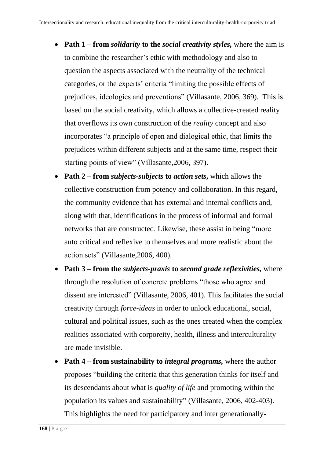- **Path 1 – from** *solidarity* **to the** *social creativity styles,* where the aim is to combine the researcher's ethic with methodology and also to question the aspects associated with the neutrality of the technical categories, or the experts' criteria "limiting the possible effects of prejudices, ideologies and preventions" (Villasante, 2006, 369). This is based on the social creativity, which allows a collective-created reality that overflows its own construction of the *reality* concept and also incorporates "a principle of open and dialogical ethic, that limits the prejudices within different subjects and at the same time, respect their starting points of view" (Villasante,2006, 397).
- **Path 2 – from** *subjects-subjects* **to** *action sets***,** which allows the collective construction from potency and collaboration. In this regard, the community evidence that has external and internal conflicts and, along with that, identifications in the process of informal and formal networks that are constructed. Likewise, these assist in being "more auto critical and reflexive to themselves and more realistic about the action sets" (Villasante,2006, 400).
- **Path 3 – from the** *subjects-praxis* **to** *second grade reflexivities,* where through the resolution of concrete problems "those who agree and dissent are interested" (Villasante, 2006, 401). This facilitates the social creativity through *force-ideas* in order to unlock educational, social, cultural and political issues, such as the ones created when the complex realities associated with corporeity, health, illness and interculturality are made invisible.
- **Path 4 from sustainability to** *integral programs*, where the author proposes "building the criteria that this generation thinks for itself and its descendants about what is *quality of life* and promoting within the population its values and sustainability" (Villasante*,* 2006, 402-403). This highlights the need for participatory and inter generationally-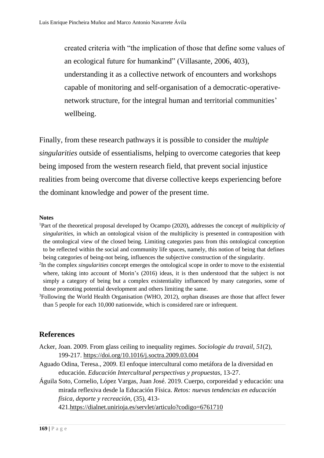created criteria with "the implication of those that define some values of an ecological future for humankind" (Villasante*,* 2006, 403), understanding it as a collective network of encounters and workshops capable of monitoring and self-organisation of a democratic-operativenetwork structure, for the integral human and territorial communities' wellbeing.

Finally, from these research pathways it is possible to consider the *multiple singularities* outside of essentialisms, helping to overcome categories that keep being imposed from the western research field, that prevent social injustice realities from being overcome that diverse collective keeps experiencing before the dominant knowledge and power of the present time.

#### **Notes**

- <sup>1</sup>Part of the theoretical proposal developed by Ocampo (2020), addresses the concept of *multiplicity of singularities,* in which an ontological vision of the multiplicity is presented in contraposition with the ontological view of the closed being. Limiting categories pass from this ontological conception to be reflected within the social and community life spaces, namely, this notion of being that defines being categories of being-not being, influences the subjective construction of the singularity.
- 2 In the complex *singularities* concept emerges the ontological scope in order to move to the existential where, taking into account of Morin's (2016) ideas, it is then understood that the subject is not simply a category of being but a complex existentiality influenced by many categories, some of those promoting potential development and others limiting the same.
- <sup>3</sup>Following the World Health Organisation (WHO, 2012), orphan diseases are those that affect fewer than 5 people for each 10,000 nationwide, which is considered rare or infrequent.

#### **References**

- Acker, Joan. 2009. From glass ceiling to inequality regimes. *Sociologie du travail*, *51*(2), 199-217.<https://doi.org/10.1016/j.soctra.2009.03.004>
- Aguado Odina, Teresa., 2009. El enfoque intercultural como metáfora de la diversidad en educación. *Educación Intercultural perspectivas y propuestas*, 13-27.
- Águila Soto, Cornelio, López Vargas, Juan José. 2019. Cuerpo, corporeidad y educación: una mirada reflexiva desde la Educación Física. *Retos: nuevas tendencias en educación física, deporte y recreación*, (35), 413-

421[.https://dialnet.unirioja.es/servlet/articulo?codigo=6761710](https://dialnet.unirioja.es/servlet/articulo?codigo=6761710)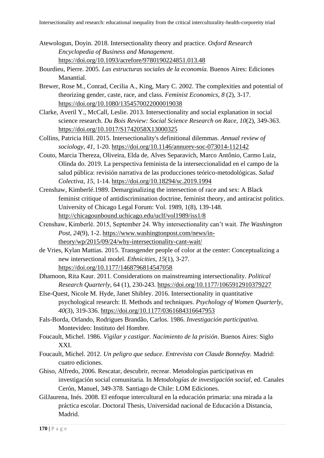- Atewologun, Doyin. 2018. Intersectionality theory and practice. *Oxford Research Encyclopedia of Business and Management*. <https://doi.org/10.1093/acrefore/9780190224851.013.48>
- Bourdieu, Pierre. 2005*. Las estructuras sociales de la economía.* Buenos Aires: Ediciones Manantial.
- Brewer, Rose M., Conrad, Cecilia A., King, Mary C. 2002. The complexities and potential of theorizing gender, caste, race, and class. *Feminist Economics*, *8* (2), 3-17. <https://doi.org/10.1080/1354570022000019038>
- Clarke, Averil Y., McCall, Leslie. 2013. Intersectionality and social explanation in social science research. *Du Bois Review: Social Science Research on Race, 10*(2), 349-363. <https://doi.org/10.1017/S1742058X13000325>
- Collins, Patricia Hill. 2015. Intersectionality's definitional dilemmas. *Annual review of sociology*, *41*, 1-20.<https://doi.org/10.1146/annurev-soc-073014-112142>
- Couto, Marcia Thereza, Oliveira, Elda de, Alves Separavich, Marco Antônio, Carmo Luiz, Olinda do. 2019. La perspectiva feminista de la interseccionalidad en el campo de la salud pública: revisión narrativa de las producciones teórico-metodológicas. *Salud Colectiva*, *15*, 1-14.<https://doi.org/10.18294/sc.2019.1994>
- Crenshaw, Kimberlé.1989. Demarginalizing the intersection of race and sex: A Black feminist critique of antidiscrimination doctrine, feminist theory, and antiracist politics. University of Chicago Legal Forum: Vol. 1989, 1(8), 139-148. <http://chicagounbound.uchicago.edu/uclf/vol1989/iss1/8>
- Crenshaw, Kimberlé. 2015, September 24. Why intersectionality can't wait. *The Washington Post, 24*(9), 1-2. [https://www.washingtonpost.com/news/in](https://www.washingtonpost.com/news/in-theory/wp/2015/09/24/why-intersectionality-cant-wait/)[theory/wp/2015/09/24/why-intersectionality-cant-wait/](https://www.washingtonpost.com/news/in-theory/wp/2015/09/24/why-intersectionality-cant-wait/)
- de Vries, Kylan Mattias. 2015. Transgender people of color at the center: Conceptualizing a new intersectional model. *Ethnicities, 15*(1), 3-27. [https://doi.org/10.1177/1468796814547058](https://doi.org/10.1177%2F1468796814547058)
- Dhamoon, Rita Kaur. 2011. Considerations on mainstreaming intersectionality. *Political Research Quarterly*, 64 (1), 230-243. [https://doi.org/10.1177/1065912910379227](https://doi.org/10.1177%2F1065912910379227)
- Else-Quest, Nicole M. Hyde, Janet Shibley. 2016. Intersectionality in quantitative psychological research: II. Methods and techniques. *Psychology of Women Quarterly*, *40*(3), 319-336. [https://doi.org/10.1177/0361684316647953](https://doi.org/10.1177%2F0361684316647953)
- Fals-Borda, Orlando, Rodrigues Brandão, Carlos. 1986. *Investigación participativa.* Montevideo: Instituto del Hombre.
- Foucault, Michel. 1986. *Vigilar y castigar. Nacimiento de la prisión*. Buenos Aires: Siglo XXI.
- Foucault, Michel. 2012. *Un peligro que seduce. Entrevista con Claude Bonnefoy.* Madrid: cuatro ediciones.
- Ghiso, Alfredo, 2006. Rescatar, descubrir, recrear. Metodologías participativas en investigación social comunitaria. In *Metodologías de investigación social*, ed. Canales Cerón, Manuel, 349-378*.* Santiago de Chile: LOM Ediciones.
- GilJaurena, Inés. 2008. El enfoque intercultural en la educación primaria: una mirada a la práctica escolar. Doctoral Thesis, Universidad nacional de Educación a Distancia, Madrid.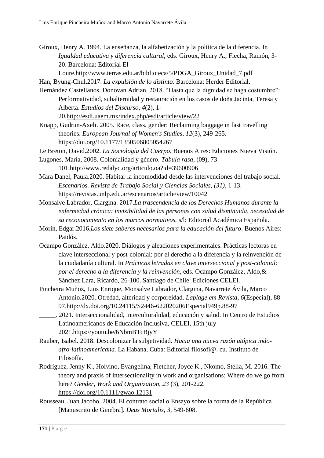Giroux, Henry A. 1994. La enseñanza, la alfabetización y la política de la diferencia. In *Igualdad educativa y diferencia cultural*, eds. Giroux, Henry A., Flecha, Ramón, 3- 20. Barcelona: Editorial El

Loure[.http://www.terras.edu.ar/biblioteca/5/PDGA\\_Giroux\\_Unidad\\_7.pdf](http://www.terras.edu.ar/biblioteca/5/PDGA_Giroux_Unidad_7.pdf)

Han, Byung-Chul.2017. *La expulsión de lo distinto*. Barcelona: Herder Editorial.

Hernández Castellanos, Donovan Adrian. 2018. "Hasta que la dignidad se haga costumbre": Performatividad, subalternidad y restauración en los casos de doña Jacinta, Teresa y Alberta. *Estudios del Discurso*, *4*(2), 1- 20[.http://esdi.uaem.mx/index.php/esdi/article/view/22](http://esdi.uaem.mx/index.php/esdi/article/view/22)

Knapp, Gudrun-Axeli. 2005. Race, class, gender: Reclaiming baggage in fast travelling theories. *European Journal of Women's Studies*, *12*(3), 249-265. <https://doi.org/10.1177/1350506805054267>

Le Breton, David.2002. *La Sociología del Cuerpo*. Buenos Aires: Ediciones Nueva Visión. Lugones, María, 2008. Colonialidad y género. *Tabula rasa*, (09), 73-

101[.http://www.redalyc.org/articulo.oa?id=39600906](http://www.redalyc.org/articulo.oa?id=39600906)

Mara Danel, Paula.2020. Habitar la incomodidad desde las intervenciones del trabajo social. *Escenarios. Revista de Trabajo Social y Ciencias Sociales, (31)*, 1-13. <https://revistas.unlp.edu.ar/escenarios/article/view/10042>

Monsalve Labrador, Clargina. 2017.*La trascendencia de los Derechos Humanos durante la enfermedad crónica: invisibilidad de las personas con salud disminuida, necesidad de su reconocimiento en los marcos normativos.* s/l: Editorial Académica Española.

Morín, Edgar.2016.*Los siete saberes necesarios para la educación del futuro*. Buenos Aires: Paidós.

Ocampo González, Aldo.2020. Diálogos y aleaciones experimentales. Prácticas lectoras en clave interseccional y post-colonial: por el derecho a la diferencia y la reinvención de la ciudadanía cultural. In *Prácticas letradas en clave interseccional y post-colonial: por el derecho a la diferencia y la reinvención*, eds. Ocampo González, Aldo,& Sánchez Lara, Ricardo, 26-100. Santiago de Chile: Ediciones CELEI.

Pincheira Muñoz, Luis Enrique, Monsalve Labrador, Clargina, Navarrete Ávila, Marco Antonio.2020. Otredad, alteridad y corporeidad. *Laplage em Revista*, *6*(Especial), 88- 97[.http://dx.doi.org/10.24115/S2446-622020206Especial949p.88-97](http://dx.doi.org/10.24115/S2446-622020206Especial949p.88-97)

\_\_\_\_\_. 2021. Interseccionalidad, interculturalidad, educación y salud. In Centro de Estudios Latinoamericanos de Educación Inclusiva, CELEI, 15th july 2021[.https://youtu.be/6NbmBTcBjyY](https://youtu.be/6NbmBTcBjyY)

Rauber, Isabel. 2018. Descolonizar la subjetividad. *Hacia una nueva razón utópica indoafro-latinoamericana.* La Habana, Cuba: Editorial filosofi@. cu. Instituto de Filosofía.

Rodríguez, Jenny K., Holvino, Evangelina, Fletcher, Joyce K., Nkomo, Stella, M. 2016. The theory and praxis of intersectionality in work and organisations: Where do we go from here? *Gender, Work and Organization*, *23* (3), 201-222. <https://doi.org/10.1111/gwao.12131>

Rousseau, Juan Jacobo. 2004. El contrato social o Ensayo sobre la forma de la República [Manuscrito de Ginebra]. *Deus Mortalis, 3*, 549-608.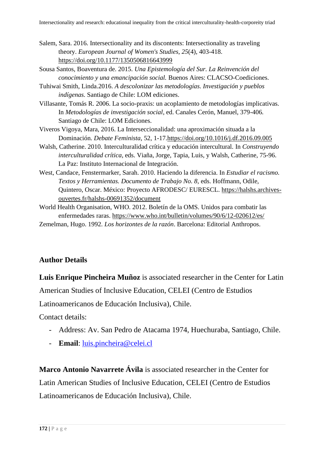- Salem, Sara. 2016. Intersectionality and its discontents: Intersectionality as traveling theory. *European Journal of Women's Studies*, *25*(4), 403-418. <https://doi.org/10.1177/1350506816643999>
- Sousa Santos, Boaventura de. 2015. *Una Epistemología del Sur. La Reinvención del conocimiento y una emancipación social.* Buenos Aires: CLACSO-Coediciones.
- Tuhiwai Smith, Linda.2016. *A descolonizar las metodologías. Investigación y pueblos indígenas.* Santiago de Chile: LOM ediciones.
- Villasante, Tomás R. 2006. La socio-praxis: un acoplamiento de metodologías implicativas. In *Metodologías de investigación social*, ed. Canales Cerón, Manuel, 379-406*.*  Santiago de Chile: LOM Ediciones.
- Viveros Vigoya, Mara, 2016. La Interseccionalidad: una aproximación situada a la Dominación. *Debate Feminista*, 52, 1-17[.https://doi.org/10.1016/j.df.2016.09.005](https://doi.org/10.1016/j.df.2016.09.005)
- Walsh, Catherine. 2010. Interculturalidad crítica y educación intercultural. In *Construyendo interculturalidad crítica*, eds. Viaña, Jorge, Tapia, Luis, y Walsh, Catherine, 75-96. La Paz: Instituto Internacional de Integración.
- West, Candace, Fenstermarker, Sarah. 2010. Haciendo la diferencia. In *Estudiar el racismo. Textos y Herramientas. Documento de Trabajo No. 8,* eds. Hoffmann, Odile, Quintero, Oscar. México: Proyecto AFRODESC/ EURESCL. [https://halshs.archives](https://halshs.archives-ouvertes.fr/halshs-00691352/document)[ouvertes.fr/halshs-00691352/document](https://halshs.archives-ouvertes.fr/halshs-00691352/document)
- World Health Organisation, WHO. 2012. Boletín de la OMS. Unidos para combatir las enfermedades raras.<https://www.who.int/bulletin/volumes/90/6/12-020612/es/>
- Zemelman, Hugo. 1992. *Los horizontes de la razón*. Barcelona: Editorial Anthropos.

### **Author Details**

**Luis Enrique Pincheira Muñoz** is associated researcher in the Center for Latin

American Studies of Inclusive Education, CELEI (Centro de Estudios

Latinoamericanos de Educación Inclusiva), Chile.

Contact details:

- Address: Av. San Pedro de Atacama 1974, Huechuraba, Santiago, Chile.
- **Email**: [luis.pincheira@celei.cl](mailto:luis.pincheira@celei.cl)

**Marco Antonio Navarrete Ávila** is associated researcher in the Center for Latin American Studies of Inclusive Education, CELEI (Centro de Estudios Latinoamericanos de Educación Inclusiva), Chile.